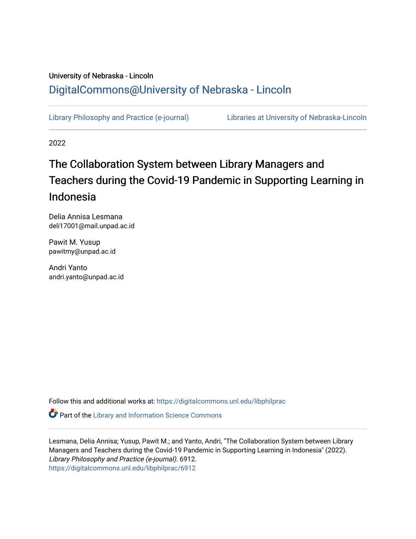# University of Nebraska - Lincoln [DigitalCommons@University of Nebraska - Lincoln](https://digitalcommons.unl.edu/)

[Library Philosophy and Practice \(e-journal\)](https://digitalcommons.unl.edu/libphilprac) [Libraries at University of Nebraska-Lincoln](https://digitalcommons.unl.edu/libraries) 

2022

# The Collaboration System between Library Managers and Teachers during the Covid-19 Pandemic in Supporting Learning in Indonesia

Delia Annisa Lesmana deli17001@mail.unpad.ac.id

Pawit M. Yusup pawitmy@unpad.ac.id

Andri Yanto andri.yanto@unpad.ac.id

Follow this and additional works at: [https://digitalcommons.unl.edu/libphilprac](https://digitalcommons.unl.edu/libphilprac?utm_source=digitalcommons.unl.edu%2Flibphilprac%2F6912&utm_medium=PDF&utm_campaign=PDFCoverPages) 

**Part of the Library and Information Science Commons** 

Lesmana, Delia Annisa; Yusup, Pawit M.; and Yanto, Andri, "The Collaboration System between Library Managers and Teachers during the Covid-19 Pandemic in Supporting Learning in Indonesia" (2022). Library Philosophy and Practice (e-journal). 6912. [https://digitalcommons.unl.edu/libphilprac/6912](https://digitalcommons.unl.edu/libphilprac/6912?utm_source=digitalcommons.unl.edu%2Flibphilprac%2F6912&utm_medium=PDF&utm_campaign=PDFCoverPages)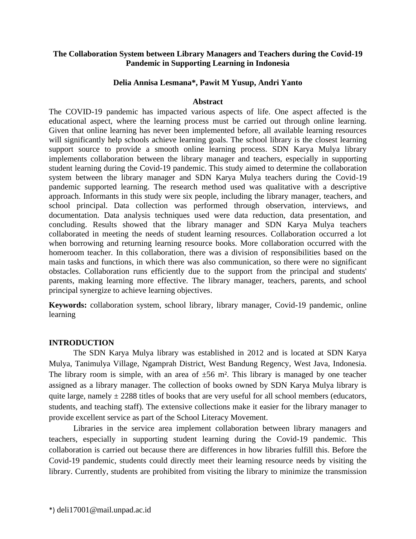# **The Collaboration System between Library Managers and Teachers during the Covid-19 Pandemic in Supporting Learning in Indonesia**

# **Delia Annisa Lesmana\*, Pawit M Yusup, Andri Yanto**

### **Abstract**

The COVID-19 pandemic has impacted various aspects of life. One aspect affected is the educational aspect, where the learning process must be carried out through online learning. Given that online learning has never been implemented before, all available learning resources will significantly help schools achieve learning goals. The school library is the closest learning support source to provide a smooth online learning process. SDN Karya Mulya library implements collaboration between the library manager and teachers, especially in supporting student learning during the Covid-19 pandemic. This study aimed to determine the collaboration system between the library manager and SDN Karya Mulya teachers during the Covid-19 pandemic supported learning. The research method used was qualitative with a descriptive approach. Informants in this study were six people, including the library manager, teachers, and school principal. Data collection was performed through observation, interviews, and documentation. Data analysis techniques used were data reduction, data presentation, and concluding. Results showed that the library manager and SDN Karya Mulya teachers collaborated in meeting the needs of student learning resources. Collaboration occurred a lot when borrowing and returning learning resource books. More collaboration occurred with the homeroom teacher. In this collaboration, there was a division of responsibilities based on the main tasks and functions, in which there was also communication, so there were no significant obstacles. Collaboration runs efficiently due to the support from the principal and students' parents, making learning more effective. The library manager, teachers, parents, and school principal synergize to achieve learning objectives.

**Keywords:** collaboration system, school library, library manager, Covid-19 pandemic, online learning

## **INTRODUCTION**

The SDN Karya Mulya library was established in 2012 and is located at SDN Karya Mulya, Tanimulya Village, Ngamprah District, West Bandung Regency, West Java, Indonesia. The library room is simple, with an area of  $\pm 56$  m<sup>2</sup>. This library is managed by one teacher assigned as a library manager. The collection of books owned by SDN Karya Mulya library is quite large, namely  $\pm$  2288 titles of books that are very useful for all school members (educators, students, and teaching staff). The extensive collections make it easier for the library manager to provide excellent service as part of the School Literacy Movement.

Libraries in the service area implement collaboration between library managers and teachers, especially in supporting student learning during the Covid-19 pandemic. This collaboration is carried out because there are differences in how libraries fulfill this. Before the Covid-19 pandemic, students could directly meet their learning resource needs by visiting the library. Currently, students are prohibited from visiting the library to minimize the transmission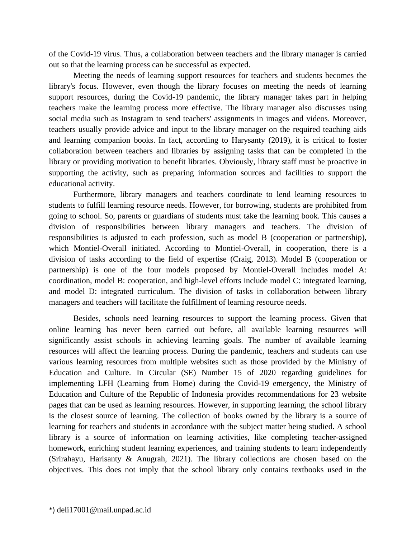of the Covid-19 virus. Thus, a collaboration between teachers and the library manager is carried out so that the learning process can be successful as expected.

Meeting the needs of learning support resources for teachers and students becomes the library's focus. However, even though the library focuses on meeting the needs of learning support resources, during the Covid-19 pandemic, the library manager takes part in helping teachers make the learning process more effective. The library manager also discusses using social media such as Instagram to send teachers' assignments in images and videos. Moreover, teachers usually provide advice and input to the library manager on the required teaching aids and learning companion books. In fact, according to Harysanty (2019), it is critical to foster collaboration between teachers and libraries by assigning tasks that can be completed in the library or providing motivation to benefit libraries. Obviously, library staff must be proactive in supporting the activity, such as preparing information sources and facilities to support the educational activity.

Furthermore, library managers and teachers coordinate to lend learning resources to students to fulfill learning resource needs. However, for borrowing, students are prohibited from going to school. So, parents or guardians of students must take the learning book. This causes a division of responsibilities between library managers and teachers. The division of responsibilities is adjusted to each profession, such as model B (cooperation or partnership), which Montiel-Overall initiated. According to Montiel-Overall, in cooperation, there is a division of tasks according to the field of expertise (Craig, 2013). Model B (cooperation or partnership) is one of the four models proposed by Montiel-Overall includes model A: coordination, model B: cooperation, and high-level efforts include model C: integrated learning, and model D: integrated curriculum. The division of tasks in collaboration between library managers and teachers will facilitate the fulfillment of learning resource needs.

Besides, schools need learning resources to support the learning process. Given that online learning has never been carried out before, all available learning resources will significantly assist schools in achieving learning goals. The number of available learning resources will affect the learning process. During the pandemic, teachers and students can use various learning resources from multiple websites such as those provided by the Ministry of Education and Culture. In Circular (SE) Number 15 of 2020 regarding guidelines for implementing LFH (Learning from Home) during the Covid-19 emergency, the Ministry of Education and Culture of the Republic of Indonesia provides recommendations for 23 website pages that can be used as learning resources. However, in supporting learning, the school library is the closest source of learning. The collection of books owned by the library is a source of learning for teachers and students in accordance with the subject matter being studied. A school library is a source of information on learning activities, like completing teacher-assigned homework, enriching student learning experiences, and training students to learn independently (Srirahayu, Harisanty & Anugrah, 2021). The library collections are chosen based on the objectives. This does not imply that the school library only contains textbooks used in the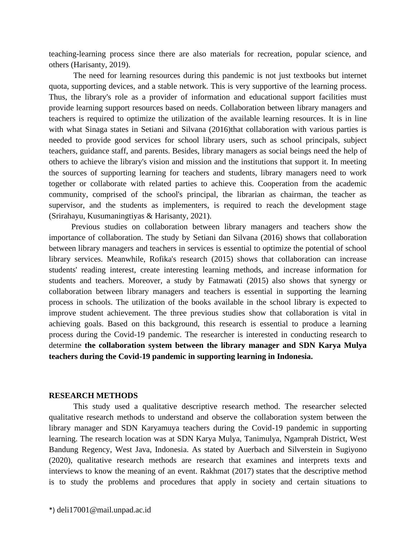teaching-learning process since there are also materials for recreation, popular science, and others (Harisanty, 2019).

The need for learning resources during this pandemic is not just textbooks but internet quota, supporting devices, and a stable network. This is very supportive of the learning process. Thus, the library's role as a provider of information and educational support facilities must provide learning support resources based on needs. Collaboration between library managers and teachers is required to optimize the utilization of the available learning resources. It is in line with what Sinaga states in Setiani and Silvana (2016)that collaboration with various parties is needed to provide good services for school library users, such as school principals, subject teachers, guidance staff, and parents. Besides, library managers as social beings need the help of others to achieve the library's vision and mission and the institutions that support it. In meeting the sources of supporting learning for teachers and students, library managers need to work together or collaborate with related parties to achieve this. Cooperation from the academic community, comprised of the school's principal, the librarian as chairman, the teacher as supervisor, and the students as implementers, is required to reach the development stage (Srirahayu, Kusumaningtiyas & Harisanty, 2021).

 Previous studies on collaboration between library managers and teachers show the importance of collaboration. The study by Setiani dan Silvana (2016) shows that collaboration between library managers and teachers in services is essential to optimize the potential of school library services. Meanwhile, Rofika's research (2015) shows that collaboration can increase students' reading interest, create interesting learning methods, and increase information for students and teachers. Moreover, a study by Fatmawati (2015) also shows that synergy or collaboration between library managers and teachers is essential in supporting the learning process in schools. The utilization of the books available in the school library is expected to improve student achievement. The three previous studies show that collaboration is vital in achieving goals. Based on this background, this research is essential to produce a learning process during the Covid-19 pandemic. The researcher is interested in conducting research to determine **the collaboration system between the library manager and SDN Karya Mulya teachers during the Covid-19 pandemic in supporting learning in Indonesia.**

#### **RESEARCH METHODS**

This study used a qualitative descriptive research method. The researcher selected qualitative research methods to understand and observe the collaboration system between the library manager and SDN Karyamuya teachers during the Covid-19 pandemic in supporting learning. The research location was at SDN Karya Mulya, Tanimulya, Ngamprah District, West Bandung Regency, West Java, Indonesia. As stated by Auerbach and Silverstein in Sugiyono (2020), qualitative research methods are research that examines and interprets texts and interviews to know the meaning of an event. Rakhmat (2017) states that the descriptive method is to study the problems and procedures that apply in society and certain situations to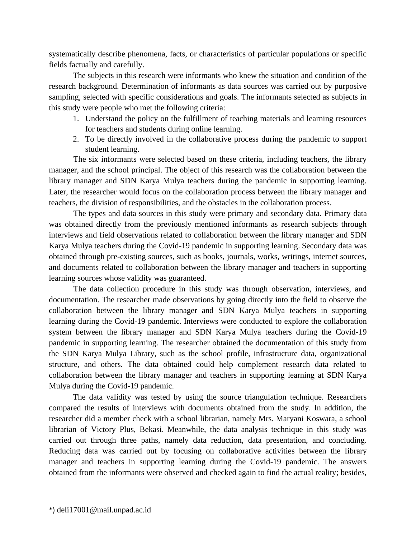systematically describe phenomena, facts, or characteristics of particular populations or specific fields factually and carefully.

The subjects in this research were informants who knew the situation and condition of the research background. Determination of informants as data sources was carried out by purposive sampling, selected with specific considerations and goals. The informants selected as subjects in this study were people who met the following criteria:

- 1. Understand the policy on the fulfillment of teaching materials and learning resources for teachers and students during online learning.
- 2. To be directly involved in the collaborative process during the pandemic to support student learning.

The six informants were selected based on these criteria, including teachers, the library manager, and the school principal. The object of this research was the collaboration between the library manager and SDN Karya Mulya teachers during the pandemic in supporting learning. Later, the researcher would focus on the collaboration process between the library manager and teachers, the division of responsibilities, and the obstacles in the collaboration process.

The types and data sources in this study were primary and secondary data. Primary data was obtained directly from the previously mentioned informants as research subjects through interviews and field observations related to collaboration between the library manager and SDN Karya Mulya teachers during the Covid-19 pandemic in supporting learning. Secondary data was obtained through pre-existing sources, such as books, journals, works, writings, internet sources, and documents related to collaboration between the library manager and teachers in supporting learning sources whose validity was guaranteed.

The data collection procedure in this study was through observation, interviews, and documentation. The researcher made observations by going directly into the field to observe the collaboration between the library manager and SDN Karya Mulya teachers in supporting learning during the Covid-19 pandemic. Interviews were conducted to explore the collaboration system between the library manager and SDN Karya Mulya teachers during the Covid-19 pandemic in supporting learning. The researcher obtained the documentation of this study from the SDN Karya Mulya Library, such as the school profile, infrastructure data, organizational structure, and others. The data obtained could help complement research data related to collaboration between the library manager and teachers in supporting learning at SDN Karya Mulya during the Covid-19 pandemic.

The data validity was tested by using the source triangulation technique. Researchers compared the results of interviews with documents obtained from the study. In addition, the researcher did a member check with a school librarian, namely Mrs. Maryani Koswara, a school librarian of Victory Plus, Bekasi. Meanwhile, the data analysis technique in this study was carried out through three paths, namely data reduction, data presentation, and concluding. Reducing data was carried out by focusing on collaborative activities between the library manager and teachers in supporting learning during the Covid-19 pandemic. The answers obtained from the informants were observed and checked again to find the actual reality; besides,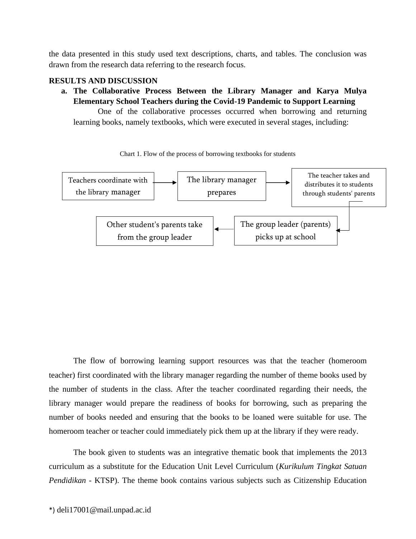the data presented in this study used text descriptions, charts, and tables. The conclusion was drawn from the research data referring to the research focus.

#### **RESULTS AND DISCUSSION**

**a. The Collaborative Process Between the Library Manager and Karya Mulya Elementary School Teachers during the Covid-19 Pandemic to Support Learning**

One of the collaborative processes occurred when borrowing and returning learning books, namely textbooks, which were executed in several stages, including:



Chart 1. Flow of the process of borrowing textbooks for students

The flow of borrowing learning support resources was that the teacher (homeroom teacher) first coordinated with the library manager regarding the number of theme books used by the number of students in the class. After the teacher coordinated regarding their needs, the library manager would prepare the readiness of books for borrowing, such as preparing the number of books needed and ensuring that the books to be loaned were suitable for use. The homeroom teacher or teacher could immediately pick them up at the library if they were ready.

The book given to students was an integrative thematic book that implements the 2013 curriculum as a substitute for the Education Unit Level Curriculum (*Kurikulum Tingkat Satuan Pendidikan* - KTSP). The theme book contains various subjects such as Citizenship Education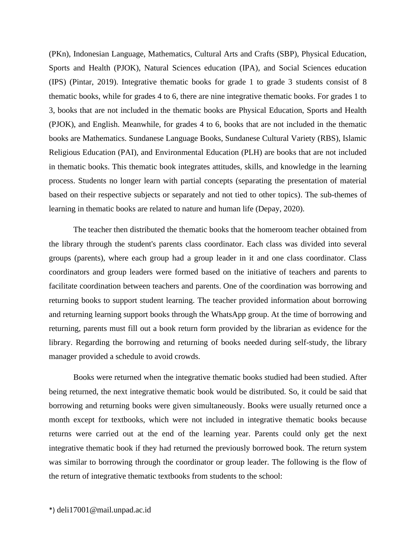(PKn), Indonesian Language, Mathematics, Cultural Arts and Crafts (SBP), Physical Education, Sports and Health (PJOK), Natural Sciences education (IPA), and Social Sciences education (IPS) (Pintar, 2019). Integrative thematic books for grade 1 to grade 3 students consist of 8 thematic books, while for grades 4 to 6, there are nine integrative thematic books. For grades 1 to 3, books that are not included in the thematic books are Physical Education, Sports and Health (PJOK), and English. Meanwhile, for grades 4 to 6, books that are not included in the thematic books are Mathematics. Sundanese Language Books, Sundanese Cultural Variety (RBS), Islamic Religious Education (PAI), and Environmental Education (PLH) are books that are not included in thematic books. This thematic book integrates attitudes, skills, and knowledge in the learning process. Students no longer learn with partial concepts (separating the presentation of material based on their respective subjects or separately and not tied to other topics). The sub-themes of learning in thematic books are related to nature and human life (Depay, 2020).

The teacher then distributed the thematic books that the homeroom teacher obtained from the library through the student's parents class coordinator. Each class was divided into several groups (parents), where each group had a group leader in it and one class coordinator. Class coordinators and group leaders were formed based on the initiative of teachers and parents to facilitate coordination between teachers and parents. One of the coordination was borrowing and returning books to support student learning. The teacher provided information about borrowing and returning learning support books through the WhatsApp group. At the time of borrowing and returning, parents must fill out a book return form provided by the librarian as evidence for the library. Regarding the borrowing and returning of books needed during self-study, the library manager provided a schedule to avoid crowds.

Books were returned when the integrative thematic books studied had been studied. After being returned, the next integrative thematic book would be distributed. So, it could be said that borrowing and returning books were given simultaneously. Books were usually returned once a month except for textbooks, which were not included in integrative thematic books because returns were carried out at the end of the learning year. Parents could only get the next integrative thematic book if they had returned the previously borrowed book. The return system was similar to borrowing through the coordinator or group leader. The following is the flow of the return of integrative thematic textbooks from students to the school: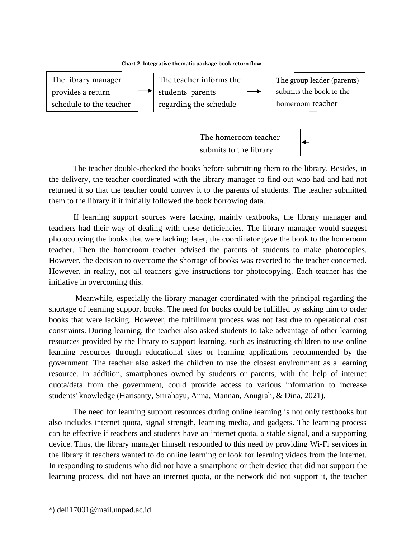



The teacher double-checked the books before submitting them to the library. Besides, in the delivery, the teacher coordinated with the library manager to find out who had and had not returned it so that the teacher could convey it to the parents of students. The teacher submitted them to the library if it initially followed the book borrowing data.  $\frac{1}{2}$ 

If learning support sources were lacking, mainly textbooks, the library manager and teachers had their way of dealing with these deficiencies. The library manager would suggest photocopying the books that were lacking; later, the coordinator gave the book to the homeroom teacher. Then the homeroom teacher advised the parents of students to make photocopies. However, the decision to overcome the shortage of books was reverted to the teacher concerned. However, in reality, not all teachers give instructions for photocopying. Each teacher has the initiative in overcoming this.

Meanwhile, especially the library manager coordinated with the principal regarding the shortage of learning support books. The need for books could be fulfilled by asking him to order books that were lacking. However, the fulfillment process was not fast due to operational cost constraints. During learning, the teacher also asked students to take advantage of other learning resources provided by the library to support learning, such as instructing children to use online learning resources through educational sites or learning applications recommended by the government. The teacher also asked the children to use the closest environment as a learning resource. In addition, smartphones owned by students or parents, with the help of internet quota/data from the government, could provide access to various information to increase students' knowledge (Harisanty, Srirahayu, Anna, Mannan, Anugrah, & Dina, 2021).

The need for learning support resources during online learning is not only textbooks but also includes internet quota, signal strength, learning media, and gadgets. The learning process can be effective if teachers and students have an internet quota, a stable signal, and a supporting device. Thus, the library manager himself responded to this need by providing Wi-Fi services in the library if teachers wanted to do online learning or look for learning videos from the internet. In responding to students who did not have a smartphone or their device that did not support the learning process, did not have an internet quota, or the network did not support it, the teacher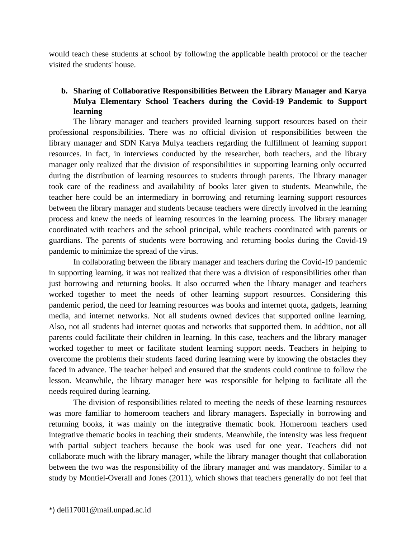would teach these students at school by following the applicable health protocol or the teacher visited the students' house.

# **b. Sharing of Collaborative Responsibilities Between the Library Manager and Karya Mulya Elementary School Teachers during the Covid-19 Pandemic to Support learning**

The library manager and teachers provided learning support resources based on their professional responsibilities. There was no official division of responsibilities between the library manager and SDN Karya Mulya teachers regarding the fulfillment of learning support resources. In fact, in interviews conducted by the researcher, both teachers, and the library manager only realized that the division of responsibilities in supporting learning only occurred during the distribution of learning resources to students through parents. The library manager took care of the readiness and availability of books later given to students. Meanwhile, the teacher here could be an intermediary in borrowing and returning learning support resources between the library manager and students because teachers were directly involved in the learning process and knew the needs of learning resources in the learning process. The library manager coordinated with teachers and the school principal, while teachers coordinated with parents or guardians. The parents of students were borrowing and returning books during the Covid-19 pandemic to minimize the spread of the virus.

In collaborating between the library manager and teachers during the Covid-19 pandemic in supporting learning, it was not realized that there was a division of responsibilities other than just borrowing and returning books. It also occurred when the library manager and teachers worked together to meet the needs of other learning support resources. Considering this pandemic period, the need for learning resources was books and internet quota, gadgets, learning media, and internet networks. Not all students owned devices that supported online learning. Also, not all students had internet quotas and networks that supported them. In addition, not all parents could facilitate their children in learning. In this case, teachers and the library manager worked together to meet or facilitate student learning support needs. Teachers in helping to overcome the problems their students faced during learning were by knowing the obstacles they faced in advance. The teacher helped and ensured that the students could continue to follow the lesson. Meanwhile, the library manager here was responsible for helping to facilitate all the needs required during learning.

The division of responsibilities related to meeting the needs of these learning resources was more familiar to homeroom teachers and library managers. Especially in borrowing and returning books, it was mainly on the integrative thematic book. Homeroom teachers used integrative thematic books in teaching their students. Meanwhile, the intensity was less frequent with partial subject teachers because the book was used for one year. Teachers did not collaborate much with the library manager, while the library manager thought that collaboration between the two was the responsibility of the library manager and was mandatory. Similar to a study by Montiel-Overall and Jones (2011), which shows that teachers generally do not feel that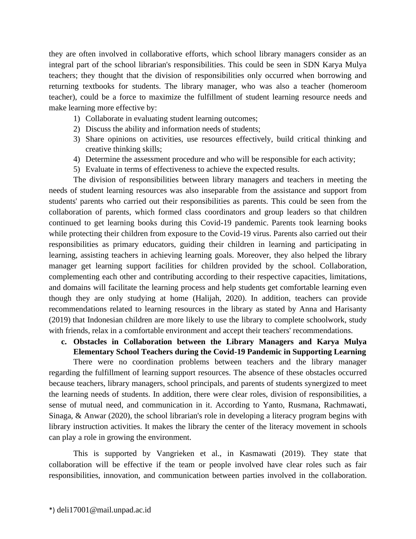they are often involved in collaborative efforts, which school library managers consider as an integral part of the school librarian's responsibilities. This could be seen in SDN Karya Mulya teachers; they thought that the division of responsibilities only occurred when borrowing and returning textbooks for students. The library manager, who was also a teacher (homeroom teacher), could be a force to maximize the fulfillment of student learning resource needs and make learning more effective by:

- 1) Collaborate in evaluating student learning outcomes;
- 2) Discuss the ability and information needs of students;
- 3) Share opinions on activities, use resources effectively, build critical thinking and creative thinking skills;
- 4) Determine the assessment procedure and who will be responsible for each activity;
- 5) Evaluate in terms of effectiveness to achieve the expected results.

The division of responsibilities between library managers and teachers in meeting the needs of student learning resources was also inseparable from the assistance and support from students' parents who carried out their responsibilities as parents. This could be seen from the collaboration of parents, which formed class coordinators and group leaders so that children continued to get learning books during this Covid-19 pandemic. Parents took learning books while protecting their children from exposure to the Covid-19 virus. Parents also carried out their responsibilities as primary educators, guiding their children in learning and participating in learning, assisting teachers in achieving learning goals. Moreover, they also helped the library manager get learning support facilities for children provided by the school. Collaboration, complementing each other and contributing according to their respective capacities, limitations, and domains will facilitate the learning process and help students get comfortable learning even though they are only studying at home (Halijah, 2020). In addition, teachers can provide recommendations related to learning resources in the library as stated by Anna and Harisanty (2019) that Indonesian children are more likely to use the library to complete schoolwork, study with friends, relax in a comfortable environment and accept their teachers' recommendations.

# **c. Obstacles in Collaboration between the Library Managers and Karya Mulya Elementary School Teachers during the Covid-19 Pandemic in Supporting Learning**

There were no coordination problems between teachers and the library manager regarding the fulfillment of learning support resources. The absence of these obstacles occurred because teachers, library managers, school principals, and parents of students synergized to meet the learning needs of students. In addition, there were clear roles, division of responsibilities, a sense of mutual need, and communication in it. According to Yanto, Rusmana, Rachmawati, Sinaga, & Anwar (2020), the school librarian's role in developing a literacy program begins with library instruction activities. It makes the library the center of the literacy movement in schools can play a role in growing the environment.

This is supported by Vangrieken et al., in Kasmawati (2019). They state that collaboration will be effective if the team or people involved have clear roles such as fair responsibilities, innovation, and communication between parties involved in the collaboration.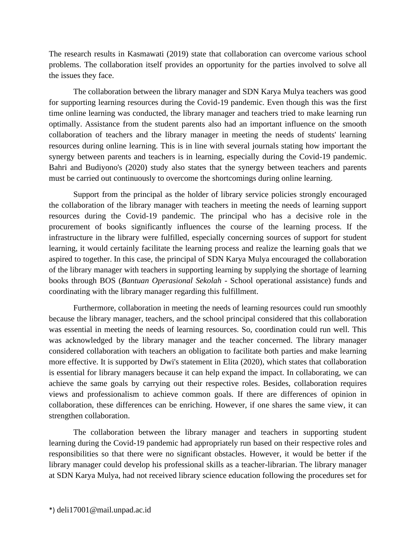The research results in Kasmawati (2019) state that collaboration can overcome various school problems. The collaboration itself provides an opportunity for the parties involved to solve all the issues they face.

The collaboration between the library manager and SDN Karya Mulya teachers was good for supporting learning resources during the Covid-19 pandemic. Even though this was the first time online learning was conducted, the library manager and teachers tried to make learning run optimally. Assistance from the student parents also had an important influence on the smooth collaboration of teachers and the library manager in meeting the needs of students' learning resources during online learning. This is in line with several journals stating how important the synergy between parents and teachers is in learning, especially during the Covid-19 pandemic. Bahri and Budiyono's (2020) study also states that the synergy between teachers and parents must be carried out continuously to overcome the shortcomings during online learning.

Support from the principal as the holder of library service policies strongly encouraged the collaboration of the library manager with teachers in meeting the needs of learning support resources during the Covid-19 pandemic. The principal who has a decisive role in the procurement of books significantly influences the course of the learning process. If the infrastructure in the library were fulfilled, especially concerning sources of support for student learning, it would certainly facilitate the learning process and realize the learning goals that we aspired to together. In this case, the principal of SDN Karya Mulya encouraged the collaboration of the library manager with teachers in supporting learning by supplying the shortage of learning books through BOS (*Bantuan Operasional Sekolah* - School operational assistance) funds and coordinating with the library manager regarding this fulfillment.

Furthermore, collaboration in meeting the needs of learning resources could run smoothly because the library manager, teachers, and the school principal considered that this collaboration was essential in meeting the needs of learning resources. So, coordination could run well. This was acknowledged by the library manager and the teacher concerned. The library manager considered collaboration with teachers an obligation to facilitate both parties and make learning more effective. It is supported by Dwi's statement in Elita (2020), which states that collaboration is essential for library managers because it can help expand the impact. In collaborating, we can achieve the same goals by carrying out their respective roles. Besides, collaboration requires views and professionalism to achieve common goals. If there are differences of opinion in collaboration, these differences can be enriching. However, if one shares the same view, it can strengthen collaboration.

The collaboration between the library manager and teachers in supporting student learning during the Covid-19 pandemic had appropriately run based on their respective roles and responsibilities so that there were no significant obstacles. However, it would be better if the library manager could develop his professional skills as a teacher-librarian. The library manager at SDN Karya Mulya, had not received library science education following the procedures set for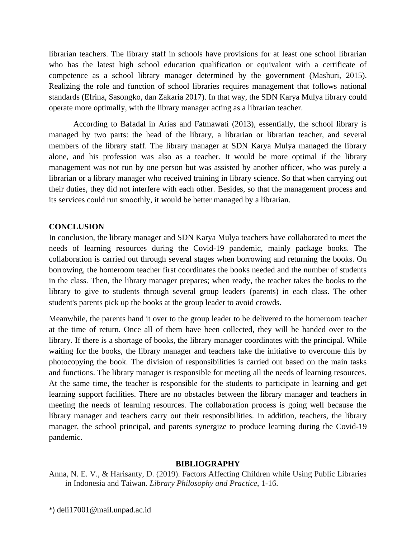librarian teachers. The library staff in schools have provisions for at least one school librarian who has the latest high school education qualification or equivalent with a certificate of competence as a school library manager determined by the government (Mashuri, 2015). Realizing the role and function of school libraries requires management that follows national standards (Efrina, Sasongko, dan Zakaria 2017). In that way, the SDN Karya Mulya library could operate more optimally, with the library manager acting as a librarian teacher.

According to Bafadal in Arias and Fatmawati (2013), essentially, the school library is managed by two parts: the head of the library, a librarian or librarian teacher, and several members of the library staff. The library manager at SDN Karya Mulya managed the library alone, and his profession was also as a teacher. It would be more optimal if the library management was not run by one person but was assisted by another officer, who was purely a librarian or a library manager who received training in library science. So that when carrying out their duties, they did not interfere with each other. Besides, so that the management process and its services could run smoothly, it would be better managed by a librarian.

## **CONCLUSION**

In conclusion, the library manager and SDN Karya Mulya teachers have collaborated to meet the needs of learning resources during the Covid-19 pandemic, mainly package books. The collaboration is carried out through several stages when borrowing and returning the books. On borrowing, the homeroom teacher first coordinates the books needed and the number of students in the class. Then, the library manager prepares; when ready, the teacher takes the books to the library to give to students through several group leaders (parents) in each class. The other student's parents pick up the books at the group leader to avoid crowds.

Meanwhile, the parents hand it over to the group leader to be delivered to the homeroom teacher at the time of return. Once all of them have been collected, they will be handed over to the library. If there is a shortage of books, the library manager coordinates with the principal. While waiting for the books, the library manager and teachers take the initiative to overcome this by photocopying the book. The division of responsibilities is carried out based on the main tasks and functions. The library manager is responsible for meeting all the needs of learning resources. At the same time, the teacher is responsible for the students to participate in learning and get learning support facilities. There are no obstacles between the library manager and teachers in meeting the needs of learning resources. The collaboration process is going well because the library manager and teachers carry out their responsibilities. In addition, teachers, the library manager, the school principal, and parents synergize to produce learning during the Covid-19 pandemic.

#### **BIBLIOGRAPHY**

Anna, N. E. V., & Harisanty, D. (2019). Factors Affecting Children while Using Public Libraries in Indonesia and Taiwan. *Library Philosophy and Practice*, 1-16.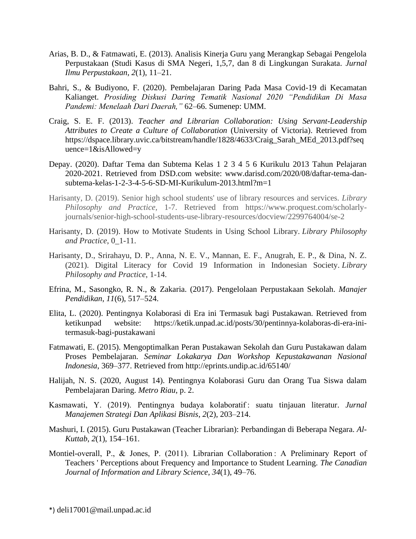- Arias, B. D., & Fatmawati, E. (2013). Analisis Kinerja Guru yang Merangkap Sebagai Pengelola Perpustakaan (Studi Kasus di SMA Negeri, 1,5,7, dan 8 di Lingkungan Surakata. *Jurnal Ilmu Perpustakaan*, *2*(1), 11–21.
- Bahri, S., & Budiyono, F. (2020). Pembelajaran Daring Pada Masa Covid-19 di Kecamatan Kalianget. *Prosiding Diskusi Daring Tematik Nasional 2020 "Pendidikan Di Masa Pandemi: Menelaah Dari Daerah,"* 62–66. Sumenep: UMM.
- Craig, S. E. F. (2013). *Teacher and Librarian Collaboration: Using Servant-Leadership Attributes to Create a Culture of Collaboration* (University of Victoria). Retrieved from https://dspace.library.uvic.ca/bitstream/handle/1828/4633/Craig\_Sarah\_MEd\_2013.pdf?seq uence=1&isAllowed=y
- Depay. (2020). Daftar Tema dan Subtema Kelas 1 2 3 4 5 6 Kurikulu 2013 Tahun Pelajaran 2020-2021. Retrieved from DSD.com website: www.darisd.com/2020/08/daftar-tema-dansubtema-kelas-1-2-3-4-5-6-SD-MI-Kurikulum-2013.html?m=1
- Harisanty, D. (2019). Senior high school students' use of library resources and services. *Library Philosophy and Practice,* 1-7. Retrieved from https://www.proquest.com/scholarlyjournals/senior-high-school-students-use-library-resources/docview/2299764004/se-2
- Harisanty, D. (2019). How to Motivate Students in Using School Library. *Library Philosophy and Practice*, 0\_1-11.
- Harisanty, D., Srirahayu, D. P., Anna, N. E. V., Mannan, E. F., Anugrah, E. P., & Dina, N. Z. (2021). Digital Literacy for Covid 19 Information in Indonesian Society. *Library Philosophy and Practice*, 1-14.
- Efrina, M., Sasongko, R. N., & Zakaria. (2017). Pengelolaan Perpustakaan Sekolah. *Manajer Pendidikan*, *11*(6), 517–524.
- Elita, L. (2020). Pentingnya Kolaborasi di Era ini Termasuk bagi Pustakawan. Retrieved from ketikunpad website: https://ketik.unpad.ac.id/posts/30/pentinnya-kolaboras-di-era-initermasuk-bagi-pustakawani
- Fatmawati, E. (2015). Mengoptimalkan Peran Pustakawan Sekolah dan Guru Pustakawan dalam Proses Pembelajaran. *Seminar Lokakarya Dan Workshop Kepustakawanan Nasional Indonesia*, 369–377. Retrieved from http://eprints.undip.ac.id/65140/
- Halijah, N. S. (2020, August 14). Pentingnya Kolaborasi Guru dan Orang Tua Siswa dalam Pembelajaran Daring. *Metro Riau*, p. 2.
- Kasmawati, Y. (2019). Pentingnya budaya kolaboratif : suatu tinjauan literatur. *Jurnal Manajemen Strategi Dan Aplikasi Bisnis*, *2*(2), 203–214.
- Mashuri, I. (2015). Guru Pustakawan (Teacher Librarian): Perbandingan di Beberapa Negara. *Al-Kuttab*, *2*(1), 154–161.
- Montiel-overall, P., & Jones, P. (2011). Librarian Collaboration : A Preliminary Report of Teachers ' Perceptions about Frequency and Importance to Student Learning. *The Canadian Journal of Information and Library Science*, *34*(1), 49–76.